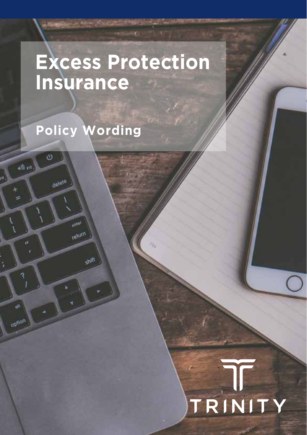# **Excess Protection Insurance**

 $\eta_c$ 

**Policy Wording**

 $\ddot{\circ}$ 

delete

 $m<sup>0</sup>$ return

**Chil** 

 $\omega$ 

30

di.

option

ż

# TRINITY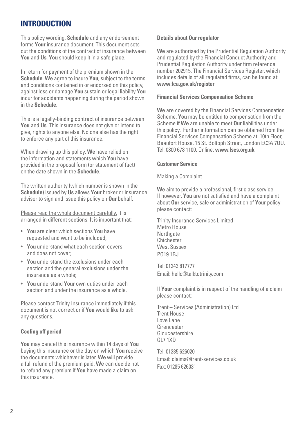#### **INTRODUCTION**

This policy wording, **Schedule** and any endorsement forms **Your** insurance document. This document sets out the conditions of the contract of insurance between **You** and **Us**. **You** should keep it in a safe place.

In return for payment of the premium shown in the **Schedule**, **We** agree to insure **You**, subject to the terms and conditions contained in or endorsed on this policy, against loss or damage **You** sustain or legal liability **You** incur for accidents happening during the period shown in the **Schedule**.

This is a legally-binding contract of insurance between **You** and **Us**. This insurance does not give or intend to give, rights to anyone else. No one else has the right to enforce any part of this insurance.

When drawing up this policy, **We** have relied on the information and statements which **You** have provided in the proposal form (or statement of fact) on the date shown in the **Schedule**.

The written authority (which number is shown in the **Schedule**) issued by **Us** allows **Your** broker or insurance advisor to sign and issue this policy on **Our** behalf.

Please read the whole document carefully. It is arranged in different sections. It is important that:

- **You** are clear which sections **You** have requested and want to be included;
- **You** understand what each section covers and does not cover;
- **You** understand the exclusions under each section and the general exclusions under the insurance as a whole;
- **You** understand **Your** own duties under each section and under the insurance as a whole.

Please contact Trinity Insurance immediately if this document is not correct or if **You** would like to ask any questions.

#### **Cooling off period**

**You** may cancel this insurance within 14 days of **You** buying this insurance or the day on which **You** receive the documents whichever is later. **We** will provide a full refund of the premium paid. **We** can decide not to refund any premium if **You** have made a claim on this insurance.

#### **Details about Our regulator**

**We** are authorised by the Prudential Regulation Authority and regulated by the Financial Conduct Authority and Prudential Regulation Authority under firm reference number 202915. The Financial Services Register, which includes details of all regulated firms, can be found at: **www.fca.gov.uk/register**

#### **Financial Services Compensation Scheme**

**We** are covered by the Financial Services Compensation Scheme. **You** may be entitled to compensation from the Scheme if **We** are unable to meet **Our** liabilities under this policy. Further information can be obtained from the Financial Services Compensation Scheme at: 10th Floor, Beaufort House, 15 St. Boltoph Street, London EC3A 7QU. Tel: 0800 678 1100. Online: **www.fscs.org.uk**

#### **Customer Service**

Making a Complaint

**We** aim to provide a professional, first class service. If however, **You** are not satisfied and have a complaint about **Our** service, sale or administration of **Your** policy please contact:

Trinity Insurance Services Limited Metro House **Northgate** Chichester West Sussex **PO19 1BJ** 

Tel: 01243 817777 Email: hello@talktotrinity.com

If **Your** complaint is in respect of the handling of a claim please contact:

Trent – Services (Administration) Ltd Trent House Love Lane **Cirencester** Gloucestershire GL7 1XD

Tel: 01285 626020 Email: claims@trent-services.co.uk Fax: 01285 626031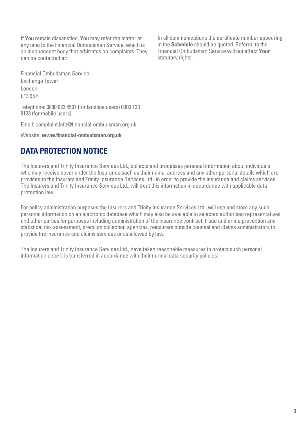If **You** remain dissatisfied, **You** may refer the matter at any time to the Financial Ombudsman Service, which is an independent body that arbitrates on complaints. They can be contacted at:

Financial Ombudsman Service Exchange Tower London E13 9SR

Telephone: 0800 023 4567 (for landline users) 0300 123 9123 (for mobile users)

Email: complaint.info@financial-ombudsman.org.uk

Website: **www.financial-ombudsman.org.uk**

### **DATA PROTECTION NOTICE**

The Insurers and Trinity Insurance Services Ltd., collects and processes personal information about individuals who may receive cover under the Insurance such as their name, address and any other personal details which are provided to the Insurers and Trinity Insurance Services Ltd., in order to provide the insurance and claims services. The Insurers and Trinity Insurance Services Ltd., will treat this information in accordance with applicable data protection law.

For policy administration purposes the Insurers and Trinity Insurance Services Ltd., will use and store any such personal information on an electronic database which may also be available to selected authorised representatives and other parties for purposes including administration of the insurance contract, fraud and crime prevention and statistical risk assessment, premium collection agencies, reinsurers outside counsel and claims administrators to provide the insurance and claims services or as allowed by law.

The Insurers and Trinity Insurance Services Ltd., have taken reasonable measures to protect such personal information once it is transferred in accordance with their normal data security policies.

In all communications the certificate number appearing in the **Schedule** should be quoted. Referral to the Financial Ombudsman Service will not affect **Your** statutory rights.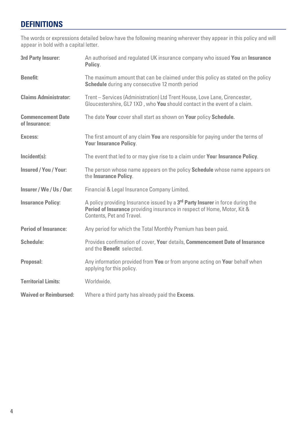# **DEFINITIONS**

The words or expressions detailed below have the following meaning wherever they appear in this policy and will appear in bold with a capital letter.

| 3rd Party Insurer:                        | An authorised and regulated UK insurance company who issued You an Insurance<br>Policy.                                                                                                             |
|-------------------------------------------|-----------------------------------------------------------------------------------------------------------------------------------------------------------------------------------------------------|
| <b>Benefit:</b>                           | The maximum amount that can be claimed under this policy as stated on the policy<br><b>Schedule</b> during any consecutive 12 month period                                                          |
| <b>Claims Administrator:</b>              | Trent - Services (Administration) Ltd Trent House, Love Lane, Cirencester,<br>Gloucestershire, GL7 1XD, who You should contact in the event of a claim.                                             |
| <b>Commencement Date</b><br>of Insurance: | The date Your cover shall start as shown on Your policy Schedule.                                                                                                                                   |
| Excess:                                   | The first amount of any claim You are responsible for paying under the terms of<br><b>Your Insurance Policy.</b>                                                                                    |
| Incident(s):                              | The event that led to or may give rise to a claim under Your Insurance Policy.                                                                                                                      |
| Insured / You / Your:                     | The person whose name appears on the policy <b>Schedule</b> whose name appears on<br>the Insurance Policy.                                                                                          |
| Insurer / We / Us / Our:                  | Financial & Legal Insurance Company Limited.                                                                                                                                                        |
| <b>Insurance Policy:</b>                  | A policy providing Insurance issued by a 3 <sup>rd</sup> Party Insurer in force during the<br>Period of Insurance providing insurance in respect of Home, Motor, Kit &<br>Contents, Pet and Travel. |
| <b>Period of Insurance:</b>               | Any period for which the Total Monthly Premium has been paid.                                                                                                                                       |
| Schedule:                                 | Provides confirmation of cover, Your details, Commencement Date of Insurance<br>and the <b>Benefit</b> selected.                                                                                    |
| Proposal:                                 | Any information provided from You or from anyone acting on Your behalf when<br>applying for this policy.                                                                                            |
| <b>Territorial Limits:</b>                | Worldwide.                                                                                                                                                                                          |
| <b>Waived or Reimbursed:</b>              | Where a third party has already paid the <b>Excess</b> .                                                                                                                                            |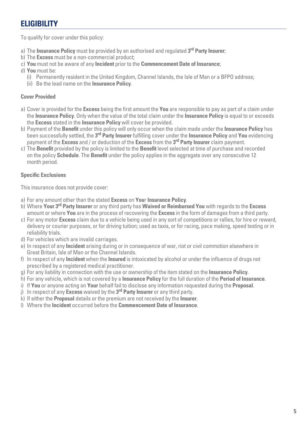# **ELIGIBILITY**

To qualify for cover under this policy:

- a) The **Insurance Policy** must be provided by an authorised and regulated **3rd Party Insurer**;
- b) The **Excess** must be a non-commercial product;
- c) **You** must not be aware of any **Incident** prior to the **Commencement Date of Insurance**;
- d) **You** must be:
	- (i) Permanently resident in the United Kingdom, Channel Islands, the Isle of Man or a BFPO address;
	- (ii) Be the lead name on the **Insurance Policy**.

#### **Cover Provided**

- a) Cover is provided for the **Excess** being the first amount the **You** are responsible to pay as part of a claim under the **Insurance Policy**. Only when the value of the total claim under the **Insurance Policy** is equal to or exceeds the **Excess** stated in the **Insurance Policy** will cover be provided.
- b) Payment of the **Benefit** under this policy will only occur when the claim made under the **Insurance Policy** has been successfully settled, the **3rd Party Insurer** fulfilling cover under the **Insurance Policy** and **You** evidencing payment of the **Excess** and / or deduction of the **Excess** from the **3rd Party Insurer** claim payment.
- c) The **Benefit** provided by the policy is limited to the **Benefit** level selected at time of purchase and recorded on the policy **Schedule**. The **Benefit** under the policy applies in the aggregate over any consecutive 12 month period.

#### **Specific Exclusions**

This insurance does not provide cover:

- a) For any amount other than the stated **Excess** on **You**r **Insurance Policy**.
- b) Where **Your 3rd Party Insurer** or any third party has **Waived or Reimbursed You** with regards to the **Excess**  amount or where **You** are in the process of recovering the **Excess** in the form of damages from a third party.
- c) For any motor **Excess** claim due to a vehicle being used in any sort of competitions or rallies, for hire or reward, delivery or courier purposes, or for driving tuition; used as taxis, or for racing, pace making, speed testing or in reliability trials.
- d) For vehicles which are invalid carriages.
- e) In respect of any **Incident** arising during or in consequence of war, riot or civil commotion elsewhere in Great Britain, Isle of Man or the Channel Islands.
- f) In respect of any **Incident** when the **Insured** is intoxicated by alcohol or under the influence of drugs not prescribed by a registered medical practitioner.
- g) For any liability in connection with the use or ownership of the item stated on the **Insurance Policy**.
- h) For any vehicle, which is not covered by a **Insurance Policy** for the full duration of the **Period of Insurance**.
- i) If **You** or anyone acting on **Your** behalf fail to disclose any information requested during the **Proposal**.
- j) In respect of any **Excess** waived by the **3rd Party Insurer** or any third party.
- k) If either the **Proposal** details or the premium are not received by the **Insurer**.
- l) Where the **Incident** occurred before the **Commencement Date of Insurance**.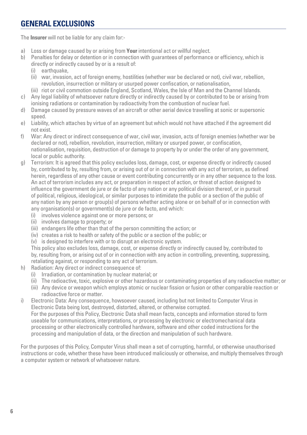# **GENERAL EXCLUSIONS**

The **Insurer** will not be liable for any claim for:-

- a) Loss or damage caused by or arising from **Your** intentional act or willful neglect.
- b) Penalties for delay or detention or in connection with guarantees of performance or efficiency, which is directly or indirectly caused by or is a result of:<br>(i) earthquake.
	- earthquake,
	- (ii) war, invasion, act of foreign enemy, hostilities (whether war be declared or not), civil war, rebellion, revolution, insurrection or military or usurped power confiscation, or nationalisation,
	- (iii) riot or civil commotion outside England, Scotland, Wales, the Isle of Man and the Channel Islands.
- c) Any legal liability of whatsoever nature directly or indirectly caused by or contributed to be or arising from ionising radiations or contamination by radioactivity from the combustion of nuclear fuel.
- d) Damage caused by pressure waves of an aircraft or other aerial device travelling at sonic or supersonic speed.
- e) Liability, which attaches by virtue of an agreement but which would not have attached if the agreement did not exist.
- f) War: Any direct or indirect consequence of war, civil war, invasion, acts of foreign enemies (whether war be declared or not), rebellion, revolution, insurrection, military or usurped power, or confiscation, nationalisation, requisition, destruction of or damage to property by or under the order of any government, local or public authority.
- g) Terrorism: It is agreed that this policy excludes loss, damage, cost, or expense directly or indirectly caused by, contributed to by, resulting from, or arising out of or in connection with any act of terrorism, as defined herein, regardless of any other cause or event contributing concurrently or in any other sequence to the loss. An act of terrorism includes any act, or preparation in respect of action, or threat of action designed to influence the government de jure or de facto of any nation or any political division thereof, or in pursuit of political, religious, ideological, or similar purposes to intimidate the public or a section of the public of any nation by any person or group(s) of persons whether acting alone or on behalf of or in connection with any organisation(s) or government(s) de jure or de facto, and which:
	- (i) involves violence against one or more persons; or
	- (ii) involves damage to property; or
	- (iii) endangers life other than that of the person committing the action; or
	- (iv) creates a risk to health or safety of the public or a section of the public; or
	- (v) is designed to interfere with or to disrupt an electronic system.

This policy also excludes loss, damage, cost, or expense directly or indirectly caused by, contributed to by, resulting from, or arising out of or in connection with any action in controlling, preventing, suppressing, retaliating against, or responding to any act of terrorism.

- h) Radiation: Any direct or indirect consequence of:
	- (i) Irradiation, or contamination by nuclear material; or
	- (ii) The radioactive, toxic, explosive or other hazardous or contaminating properties of any radioactive matter; or
	- (iii) Any device or weapon which employs atomic or nuclear fission or fusion or other comparable reaction or radioactive force or matter.
- i) Electronic Data: Any consequence, howsoever caused, including but not limited to Computer Virus in Electronic Data being lost, destroyed, distorted, altered, or otherwise corrupted. For the purposes of this Policy, Electronic Data shall mean facts, concepts and information stored to form useable for communications, interpretations, or processing by electronic or electromechanical data processing or other electronically controlled hardware, software and other coded instructions for the processing and manipulation of data, or the direction and manipulation of such hardware.

For the purposes of this Policy, Computer Virus shall mean a set of corrupting, harmful, or otherwise unauthorised instructions or code, whether these have been introduced maliciously or otherwise, and multiply themselves through a computer system or network of whatsoever nature.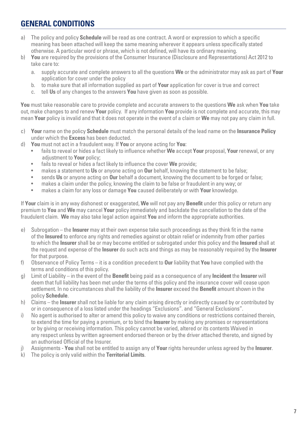# **GENERAL CONDITIONS**

- a) The policy and policy **Schedule** will be read as one contract. A word or expression to which a specific meaning has been attached will keep the same meaning wherever it appears unless specifically stated otherwise. A particular word or phrase, which is not defined, will have its ordinary meaning.
- b) **You** are required by the provisions of the Consumer Insurance (Disclosure and Representations) Act 2012 to take care to:
	- a. supply accurate and complete answers to all the questions **We** or the administrator may ask as part of **Your** application for cover under the policy
	- b. to make sure that all information supplied as part of **Your** application for cover is true and correct
	- tell Us of any changes to the answers **You** have given as soon as possible.

**You** must take reasonable care to provide complete and accurate answers to the questions **We** ask when **You** take out, make changes to and renew **Your** policy. If any information **You** provide is not complete and accurate, this may mean **Your** policy is invalid and that it does not operate in the event of a claim or **We** may not pay any claim in full.

- c) **Your** name on the policy **Schedule** must match the personal details of the lead name on the **Insurance Policy**  under which the **Excess** has been deducted.
- d) **You** must not act in a fraudulent way. If **You** or anyone acting for **You**:
	- fails to reveal or hides a fact likely to influence whether **We** accept **Your** proposal, **Your** renewal, or any adjustment to **Your** policy;
	- fails to reveal or hides a fact likely to influence the cover **We** provide;
	- makes a statement to **Us** or anyone acting on **Our** behalf, knowing the statement to be false;
	- sends **Us** or anyone acting on **Our** behalf a document, knowing the document to be forged or false;
	- makes a claim under the policy, knowing the claim to be false or fraudulent in any way; or
	- makes a claim for any loss or damage **You** caused deliberately or with **Your** knowledge.

If **Your** claim is in any way dishonest or exaggerated, **We** will not pay any **Benefit** under this policy or return any premium to **You** and **We** may cancel **Your** policy immediately and backdate the cancellation to the date of the fraudulent claim. **We** may also take legal action against **You** and inform the appropriate authorities.

- e) Subrogation the **Insurer** may at their own expense take such proceedings as they think fit in the name of the **Insured** to enforce any rights and remedies against or obtain relief or indemnity from other parties to which the **Insurer** shall be or may become entitled or subrogated under this policy and the **Insured** shall at the request and expense of the **Insurer** do such acts and things as may be reasonably required by the **Insurer**  for that purpose.
- f) Observance of Policy Terms it is a condition precedent to **Our** liability that **You** have complied with the terms and conditions of this policy.
- g) Limit of Liability in the event of the **Benefit** being paid as a consequence of any **Incident** the **Insurer** will deem that full liability has been met under the terms of this policy and the insurance cover will cease upon settlement. In no circumstances shall the liability of the **Insurer** exceed the **Benefit** amount shown in the policy **Schedule**.
- h) Claims the **Insurer** shall not be liable for any claim arising directly or indirectly caused by or contributed by or in consequence of a loss listed under the headings "Exclusions". and "General Exclusions".
- i) No agent is authorised to alter or amend this policy to waive any conditions or restrictions contained therein, to extend the time for paying a premium, or to bind the **Insurer** by making any promises or representations or by giving or receiving information. This policy cannot be varied, altered or its contents Waived in any respect unless by written agreement endorsed thereon or by the driver attached thereto, and signed by an authorised Official of the Insurer.
- j) Assignments **You** shall not be entitled to assign any of **Your** rights hereunder unless agreed by the **Insurer**.
- k) The policy is only valid within the **Territorial Limits**.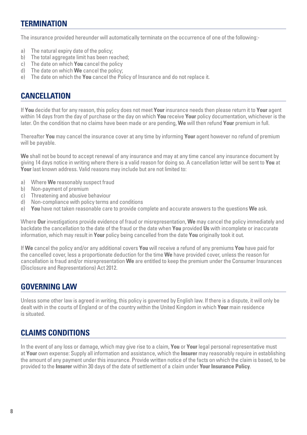#### **TERMINATION**

The insurance provided hereunder will automatically terminate on the occurrence of one of the following:-

- a) The natural expiry date of the policy:
- b) The total aggregate limit has been reached:
- c) The date on which **You** cancel the policy
- d) The date on which **We** cancel the policy;
- e) The date on which the **You** cancel the Policy of Insurance and do not replace it.

#### **CANCELLATION**

If **You** decide that for any reason, this policy does not meet **Your** insurance needs then please return it to **Your** agent within 14 days from the day of purchase or the day on which **You** receive **Your** policy documentation, whichever is the later. On the condition that no claims have been made or are pending, **We** will then refund **Your** premium in full.

Thereafter **You** may cancel the insurance cover at any time by informing **Your** agent however no refund of premium will be payable.

**We** shall not be bound to accept renewal of any insurance and may at any time cancel any insurance document by giving 14 days notice in writing where there is a valid reason for doing so. A cancellation letter will be sent to **You** at **Your** last known address. Valid reasons may include but are not limited to:

- a) Where **We** reasonably suspect fraud
- b) Non-payment of premium
- c) Threatening and abusive behaviour
- d) Non-compliance with policy terms and conditions
- e) **You** have not taken reasonable care to provide complete and accurate answers to the questions **We** ask.

Where **Our** investigations provide evidence of fraud or misrepresentation, **We** may cancel the policy immediately and backdate the cancellation to the date of the fraud or the date when **You** provided **Us** with incomplete or inaccurate information, which may result in **Your** policy being cancelled from the date **You** originally took it out.

If **We** cancel the policy and/or any additional covers **You** will receive a refund of any premiums **You** have paid for the cancelled cover, less a proportionate deduction for the time **We** have provided cover, unless the reason for cancellation is fraud and/or misrepresentation **We** are entitled to keep the premium under the Consumer Insurances (Disclosure and Representations) Act 2012.

#### **GOVERNING LAW**

Unless some other law is agreed in writing, this policy is governed by English law. If there is a dispute, it will only be dealt with in the courts of England or of the country within the United Kingdom in which **Your** main residence is situated.

### **CLAIMS CONDITIONS**

In the event of any loss or damage, which may give rise to a claim, **You** or **Your** legal personal representative must at **Your** own expense: Supply all information and assistance, which the **Insurer** may reasonably require in establishing the amount of any payment under this insurance. Provide written notice of the facts on which the claim is based, to be provided to the **Insurer** within 30 days of the date of settlement of a claim under **Your Insurance Policy**.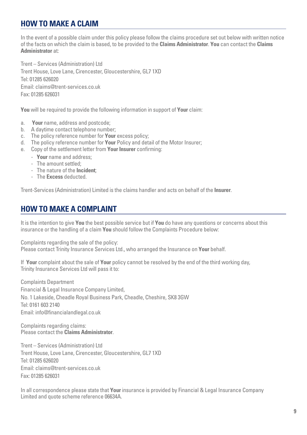# **HOW TO MAKE A CLAIM**

In the event of a possible claim under this policy please follow the claims procedure set out below with written notice of the facts on which the claim is based, to be provided to the **Claims Administrator**. **You** can contact the **Claims Administrator** at:

Trent – Services (Administration) Ltd Trent House, Love Lane, Cirencester, Gloucestershire, GL7 1XD Tel: 01285 626020 Email: claims@trent-services.co.uk Fax: 01285 626031

**You** will be required to provide the following information in support of **Your** claim:

- a. **Your** name, address and postcode;
- b. A daytime contact telephone number;
- c. The policy reference number for **Your** excess policy;
- d. The policy reference number for **Your** Policy and detail of the Motor Insurer;
- e. Copy of the settlement letter from **Your Insurer** confirming:
	- **Your** name and address;
	- The amount settled;
	- The nature of the **Incident**;
	- The **Excess** deducted.

Trent-Services (Administration) Limited is the claims handler and acts on behalf of the **Insurer**.

# **HOW TO MAKE A COMPLAINT**

It is the intention to give **You** the best possible service but if **You** do have any questions or concerns about this insurance or the handling of a claim **You** should follow the Complaints Procedure below:

Complaints regarding the sale of the policy: Please contact Trinity Insurance Services Ltd., who arranged the Insurance on **Your** behalf.

If **Your** complaint about the sale of **Your** policy cannot be resolved by the end of the third working day, Trinity Insurance Services Ltd will pass it to:

Complaints Department Financial & Legal Insurance Company Limited, No. 1 Lakeside, Cheadle Royal Business Park, Cheadle, Cheshire, SK8 3GW Tel: 0161 603 2140 Email: info@financialandlegal.co.uk

Complaints regarding claims: Please contact the **Claims Administrator**.

Trent – Services (Administration) Ltd Trent House, Love Lane, Cirencester, Gloucestershire, GL7 1XD Tel: 01285 626020 Email: claims@trent-services.co.uk Fax: 01285 626031

In all correspondence please state that **Your** insurance is provided by Financial & Legal Insurance Company Limited and quote scheme reference 06634A.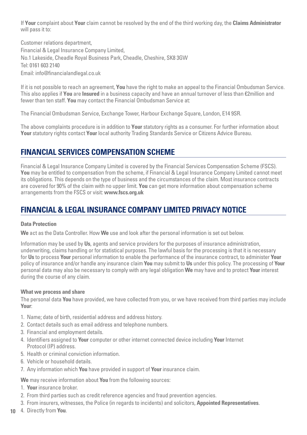If **Your** complaint about **Your** claim cannot be resolved by the end of the third working day, the **Claims Administrator**  will pass it to:

Customer relations department, Financial & Legal Insurance Company Limited, No.1 Lakeside, Cheadle Royal Business Park, Cheadle, Cheshire, SK8 3GW Tel: 0161 603 2140 Email: info@financialandlegal.co.uk

If it is not possible to reach an agreement, **You** have the right to make an appeal to the Financial Ombudsman Service. This also applies if **You** are **Insured** in a business capacity and have an annual turnover of less than €2million and fewer than ten staff. **You** may contact the Financial Ombudsman Service at:

The Financial Ombudsman Service, Exchange Tower, Harbour Exchange Square, London, E14 9SR.

The above complaints procedure is in addition to **Your** statutory rights as a consumer. For further information about **Your** statutory rights contact **Your** local authority Trading Standards Service or Citizens Advice Bureau.

# **FINANCIAL SERVICES COMPENSATION SCHEME**

Financial & Legal Insurance Company Limited is covered by the Financial Services Compensation Scheme (FSCS). **You** may be entitled to compensation from the scheme, if Financial & Legal Insurance Company Limited cannot meet its obligations. This depends on the type of business and the circumstances of the claim. Most insurance contracts are covered for 90% of the claim with no upper limit. **You** can get more information about compensation scheme arrangements from the FSCS or visit: **www.fscs.org.uk**

# **FINANCIAL & LEGAL INSURANCE COMPANY LIMITED PRIVACY NOTICE**

#### **Data Protection**

**We** act as the Data Controller. How **We** use and look after the personal information is set out below.

Information may be used by **Us**, agents and service providers for the purposes of insurance administration, underwriting, claims handling or for statistical purposes. The lawful basis for the processing is that it is necessary for **Us** to process **Your** personal information to enable the performance of the insurance contract, to administer **Your** policy of insurance and/or handle any insurance claim **You** may submit to **Us** under this policy. The processing of **Your** personal data may also be necessary to comply with any legal obligation **We** may have and to protect **Your** interest during the course of any claim.

#### **What we process and share**

The personal data **You** have provided, we have collected from you, or we have received from third parties may include **Your**:

- 1. Name; date of birth, residential address and address history.
- 2. Contact details such as email address and telephone numbers.
- 3. Financial and employment details.
- 4. Identifiers assigned to **Your** computer or other internet connected device including **Your** Internet Protocol (IP) address.
- 5. Health or criminal conviction information.
- 6. Vehicle or household details.
- 7. Any information which **You** have provided in support of **Your** insurance claim.

**We** may receive information about **You** from the following sources:

- 1. **Your** insurance broker.
- 2. From third parties such as credit reference agencies and fraud prevention agencies.
- 3. From insurers, witnesses, the Police (in regards to incidents) and solicitors, **Appointed Representatives**.
- **10** 4. Directly from **You**.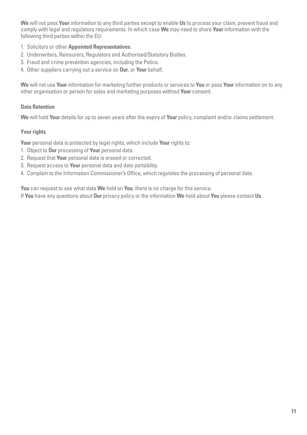**We** will not pass **Your** information to any third parties except to enable **Us** to process your claim, prevent fraud and comply with legal and regulatory requirements. In which case **We** may need to share **Your** information with the following third parties within the EU:

- 1. Solicitors or other **Appointed Representatives**.
- 2. Underwriters, Reinsurers, Regulators and Authorised/Statutory Bodies.
- 3. Fraud and crime prevention agencies, including the Police.
- 4. Other suppliers carrying out a service on **Our**, or **Your** behalf.

**We** will not use **Your** information for marketing further products or services to **You** or pass **Your** information on to any other organisation or person for sales and marketing purposes without **Your** consent.

#### **Data Retention**

**We** will hold **Your** details for up to seven years after the expiry of **Your** policy, complaint and/or claims settlement.

#### **Your rights**

**Your** personal data is protected by legal rights, which include **Your** rights to:

- 1. Object to **Our** processing of **Your** personal data.
- 2. Request that **Your** personal data is erased or corrected.
- 3. Request access to **Your** personal data and date portability.
- 4. Complain to the Information Commissioner's Office, which regulates the processing of personal data.

**You** can request to see what data **We** hold on **You**, there is no charge for this service.

If **You** have any questions about **Our** privacy policy or the information **We** hold about **You** please contact **Us**.